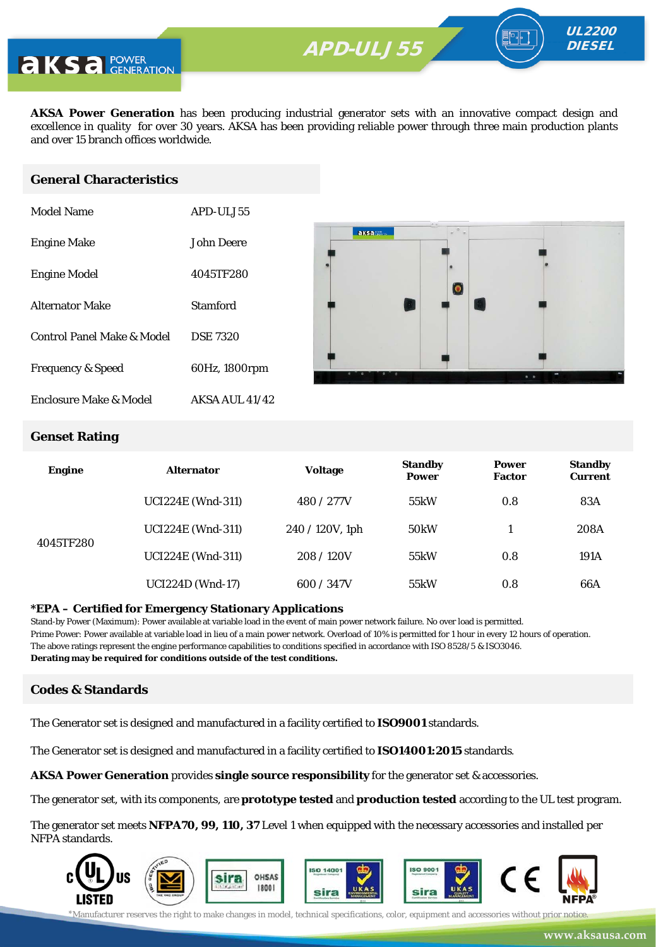**APD-ULV350** APD-ULJ55



**AKSA Power Generation** has been producing industrial generator sets with an innovative compact design and excellence in quality for over 30 years. AKSA has been providing reliable power through three main production plants and over 15 branch offices worldwide.

## **General Characteristics**

| Model Name                   | APD-ULJ55       |
|------------------------------|-----------------|
| <b>Engine Make</b>           | John Deere      |
| <b>Engine Model</b>          | 4045TF280       |
| <b>Alternator Make</b>       | Stamford        |
| Control Panel Make & Model   | <b>DSE 7320</b> |
| <b>Frequency &amp; Speed</b> | 60Hz, 1800rpm   |
| Enclosure Make & Model       | AKSA AUL 41/42  |



UL2200 **DIESEL** 

#### **Genset Rating**

| <b>Engine</b> | <b>Alternator</b>        | <b>Voltage</b>  | <b>Standby</b><br><b>Power</b> | <b>Power</b><br><b>Factor</b> | <b>Standby</b><br><b>Current</b> |
|---------------|--------------------------|-----------------|--------------------------------|-------------------------------|----------------------------------|
|               | <b>UCI224E (Wnd-311)</b> | 480 / 277V      | 55kW                           | 0.8                           | 83A                              |
|               | <b>UCI224E (Wnd-311)</b> | 240 / 120V, 1ph | 50 <sub>k</sub> W              |                               | 208A                             |
| 4045TF280     | <b>UCI224E (Wnd-311)</b> | 208/120V        | 55kW                           | 0.8                           | 191A                             |
|               | <b>UCI224D</b> (Wnd-17)  | 600 / 347V      | 55kW                           | 0.8                           | 66A                              |

#### **\*EPA – Certified for Emergency Stationary Applications**

Stand-by Power (Maximum): Power available at variable load in the event of main power network failure. No over load is permitted. Prime Power: Power available at variable load in lieu of a main power network. Overload of 10% is permitted for 1 hour in every 12 hours of operation. The above ratings represent the engine performance capabilities to conditions specified in accordance with ISO 8528/5 & ISO3046. **Derating may be required for conditions outside of the test conditions.**

### **Codes & Standards**

The Generator set is designed and manufactured in a facility certified to **ISO9001** standards.

The Generator set is designed and manufactured in a facility certified to **ISO14001:2015** standards.

**AKSA Power Generation** provides **single source responsibility** for the generator set & accessories.

The generator set, with its components, are **prototype tested** and **production tested** according to the UL test program.

The generator set meets **NFPA70, 99, 110, 37** Level 1 when equipped with the necessary accessories and installed per NFPA standards.



\*Manufacturer reserves the right to make changes in model, technical specifications, color, equipment and accessories without prior notice.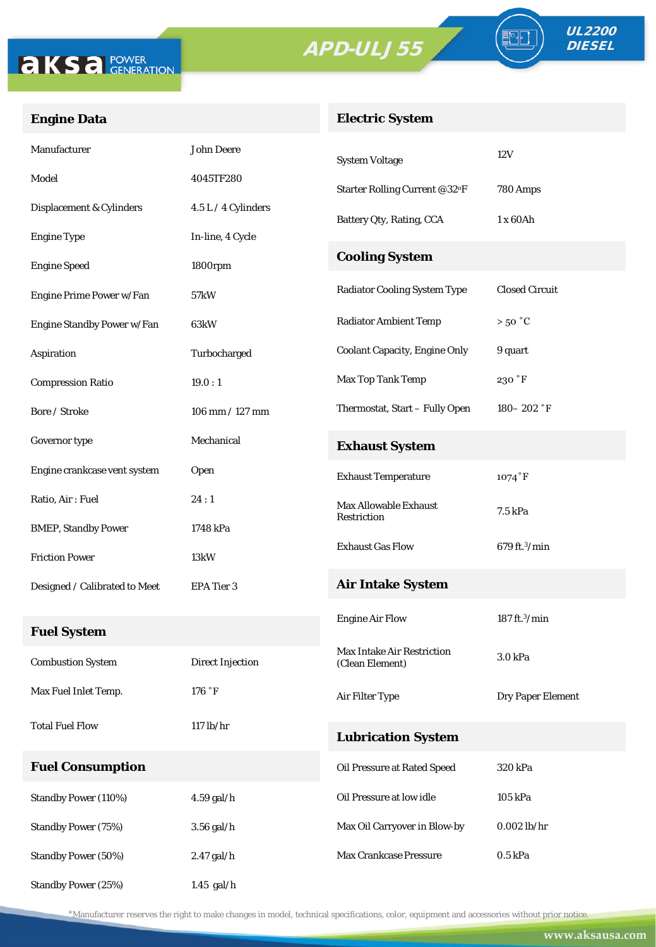# APD-ULJ55





FO

# **Engine Data**

## **Electric System**

| Manufacturer                  | <b>John Deere</b>       | <b>System Voltage</b>                | 12V                       |  |
|-------------------------------|-------------------------|--------------------------------------|---------------------------|--|
| Model                         | 4045TF280               | Starter Rolling Current @32°F        | 780 Amps                  |  |
| Displacement & Cylinders      | 4.5 L / 4 Cylinders     | Battery Qty, Rating, CCA             | 1 x 60Ah                  |  |
| <b>Engine Type</b>            | In-line, 4 Cycle        |                                      |                           |  |
| <b>Engine Speed</b>           | 1800rpm                 | <b>Cooling System</b>                |                           |  |
| Engine Prime Power w/Fan      | 57kW                    | <b>Radiator Cooling System Type</b>  | <b>Closed Circuit</b>     |  |
| Engine Standby Power w/Fan    | 63kW                    | <b>Radiator Ambient Temp</b>         | $>50\degree C$            |  |
| Aspiration                    | Turbocharged            | <b>Coolant Capacity, Engine Only</b> | 9 quart                   |  |
| <b>Compression Ratio</b>      | 19.0:1                  | Max Top Tank Temp                    | 230 °F                    |  |
| Bore / Stroke                 | 106 mm / 127 mm         | Thermostat, Start - Fully Open       | $180 - 202$ °F            |  |
| Governor type                 | Mechanical              | <b>Exhaust System</b>                |                           |  |
| Engine crankcase vent system  | Open                    | <b>Exhaust Temperature</b>           | $1074$ °F                 |  |
| Ratio, Air: Fuel              | 24:1                    | <b>Max Allowable Exhaust</b>         | 7.5 kPa                   |  |
| <b>BMEP, Standby Power</b>    | 1748 kPa                | Restriction                          |                           |  |
| <b>Friction Power</b>         | 13kW                    | <b>Exhaust Gas Flow</b>              | 679 ft. <sup>3</sup> /min |  |
| Designed / Calibrated to Meet | EPA Tier 3              | <b>Air Intake System</b>             |                           |  |
|                               |                         | <b>Engine Air Flow</b>               | 187 ft. $3$ /min          |  |
| <b>Fuel System</b>            |                         | <b>Max Intake Air Restriction</b>    |                           |  |
| <b>Combustion System</b>      | <b>Direct Injection</b> | (Clean Element)                      | 3.0 kPa                   |  |
| Max Fuel Inlet Temp.          | 176 °F                  | Air Filter Type                      | Dry Paper Element         |  |
| <b>Total Fuel Flow</b>        | $117$ lb/hr             | <b>Lubrication System</b>            |                           |  |
| <b>Fuel Consumption</b>       |                         | Oil Pressure at Rated Speed          | 320 kPa                   |  |
| <b>Standby Power (110%)</b>   | $4.59$ gal/h            | Oil Pressure at low idle             | 105 kPa                   |  |
| <b>Standby Power (75%)</b>    | $3.56$ gal/h            | Max Oil Carryover in Blow-by         | $0.002$ lb/hr             |  |
| <b>Standby Power (50%)</b>    | 2.47 gal/h              | Max Crankcase Pressure               | $0.5$ kPa                 |  |
| Standby Power (25%)           | $1.45$ gal/h            |                                      |                           |  |

\*Manufacturer reserves the right to make changes in model, technical specifications, color, equipment and accessories without prior notice.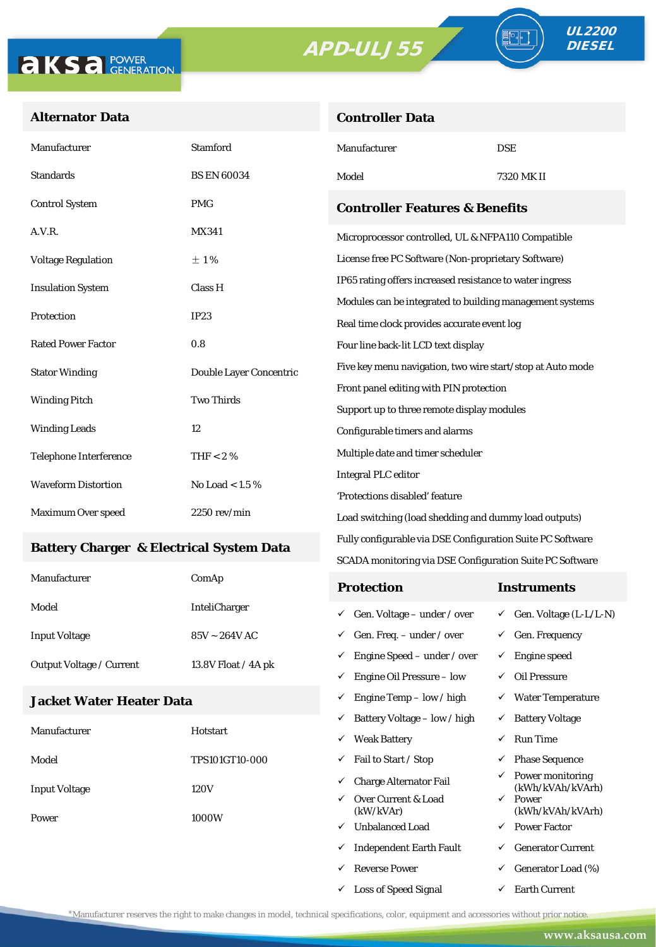# APD-ULJ55



90

## **Alternator Data**

| <b>Controller Data</b> |  |
|------------------------|--|
|                        |  |

| Manufacturer                                        | Stamford                | Manufacturer                                                                                            | <b>DSE</b>                          |  |  |  |
|-----------------------------------------------------|-------------------------|---------------------------------------------------------------------------------------------------------|-------------------------------------|--|--|--|
| <b>Standards</b>                                    | <b>BS EN 60034</b>      | Model<br>7320 MK II                                                                                     |                                     |  |  |  |
| <b>Control System</b>                               | <b>PMG</b>              | <b>Controller Features &amp; Benefits</b>                                                               |                                     |  |  |  |
| A.V.R.                                              | <b>MX341</b>            | Microprocessor controlled, UL & NFPA110 Compatible                                                      |                                     |  |  |  |
| <b>Voltage Regulation</b>                           | ±1%                     | License free PC Software (Non-proprietary Software)                                                     |                                     |  |  |  |
| <b>Insulation System</b>                            | Class H                 | IP65 rating offers increased resistance to water ingress                                                |                                     |  |  |  |
| Protection                                          | IP23                    | Modules can be integrated to building management systems<br>Real time clock provides accurate event log |                                     |  |  |  |
| <b>Rated Power Factor</b>                           | 0.8                     | Four line back-lit LCD text display                                                                     |                                     |  |  |  |
| <b>Stator Winding</b>                               | Double Layer Concentric | Five key menu navigation, two wire start/stop at Auto mode                                              |                                     |  |  |  |
|                                                     | <b>Two Thirds</b>       | Front panel editing with PIN protection                                                                 |                                     |  |  |  |
| <b>Winding Pitch</b>                                |                         | Support up to three remote display modules                                                              |                                     |  |  |  |
| <b>Winding Leads</b>                                | 12                      | Configurable timers and alarms                                                                          |                                     |  |  |  |
| <b>Telephone Interference</b>                       | THF $< 2 \%$            | Multiple date and timer scheduler                                                                       |                                     |  |  |  |
| <b>Waveform Distortion</b>                          | No Load < $1.5\%$       | <b>Integral PLC editor</b>                                                                              |                                     |  |  |  |
|                                                     |                         | 'Protections disabled' feature                                                                          |                                     |  |  |  |
| Maximum Over speed                                  | 2250 rev/min            | Load switching (load shedding and dummy load outputs)                                                   |                                     |  |  |  |
| <b>Battery Charger &amp; Electrical System Data</b> |                         | Fully configurable via DSE Configuration Suite PC Software                                              |                                     |  |  |  |
|                                                     |                         | SCADA monitoring via DSE Configuration Suite PC Software                                                |                                     |  |  |  |
| Manufacturer                                        | ComAp                   | <b>Protection</b>                                                                                       | <b>Instruments</b>                  |  |  |  |
| Model                                               | <b>InteliCharger</b>    | Gen. Voltage - under / over<br>✓                                                                        | $\checkmark$ Gen. Voltage (L-L/L-N) |  |  |  |
| <b>Input Voltage</b>                                | $85V \sim 264V$ AC      | Gen. Freq. - under / over<br>✓                                                                          | $\checkmark$ Gen. Frequency         |  |  |  |
|                                                     |                         | $\checkmark$ Engine Speed – under / over                                                                | $\checkmark$ Engine speed           |  |  |  |
| Output Voltage / Current                            | 13.8V Float / 4A pk     | $\checkmark$ Engine Oil Pressure – low                                                                  | $\checkmark$ Oil Pressure           |  |  |  |
| <b>Jacket Water Heater Data</b>                     |                         | $\checkmark$ Engine Temp - low / high                                                                   | $\checkmark$ Water Temperature      |  |  |  |
|                                                     |                         | $\checkmark$ Battery Voltage – low / high                                                               | $\checkmark$ Battery Voltage        |  |  |  |
| Manufacturer                                        | Hotstart                | ✓ Weak Battery                                                                                          | <b>Run Time</b><br>✓                |  |  |  |
| Model                                               | TPS101GT10-000          | $\checkmark$ Fail to Start / Stop                                                                       | <b>Phase Sequence</b><br>✓          |  |  |  |
|                                                     |                         | $\checkmark$ Charge Alternator Fail                                                                     | <b>Power monitoring</b>             |  |  |  |

Power 1000W

Input Voltage 120V

 $\checkmark~$  Over Current & Load (kW/kVAr)

 $\checkmark$  Unbalanced Load  $\checkmark$  Power Factor  $\checkmark$  Independent Earth Fault  $\checkmark$  Generator Current  $\begin{array}{ccc} \checkmark & \text{Generator Load} \ (\%) \end{array}$  $\checkmark$  Loss of Speed Signal  $\checkmark$  Earth Current

(kWh/kVAh/kVArh)

(kWh/kVAh/kVArh)

 $\checkmark$  Power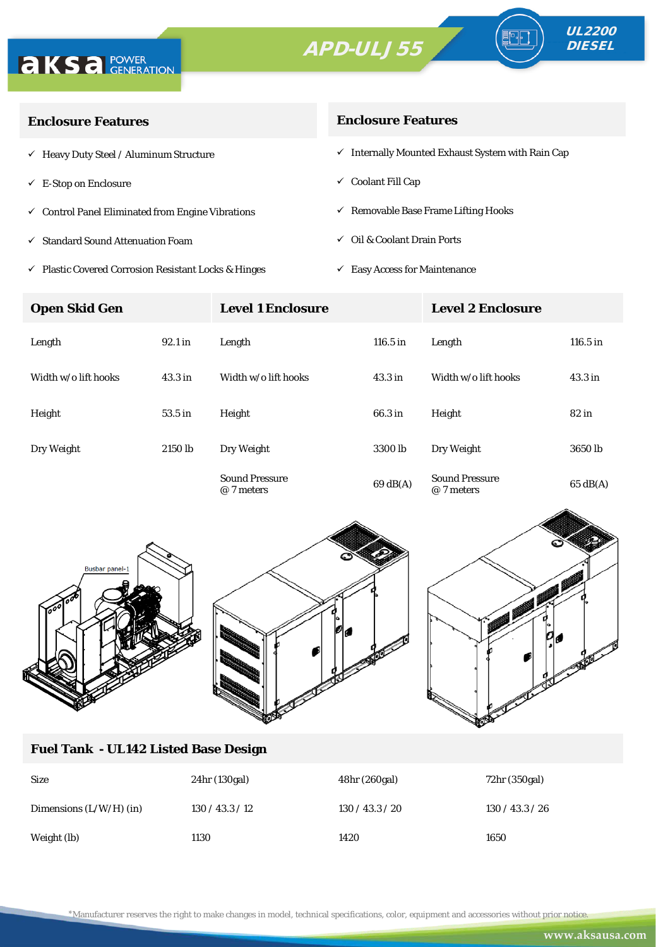# APD-ULJ55





| <b>Enclosure Features</b>                                    | <b>Enclosure Features</b>                                    |  |  |
|--------------------------------------------------------------|--------------------------------------------------------------|--|--|
| $\checkmark$ Heavy Duty Steel / Aluminum Structure           | $\checkmark$ Internally Mounted Exhaust System with Rain Cap |  |  |
| $\checkmark$ E-Stop on Enclosure                             | $\checkmark$ Coolant Fill Cap                                |  |  |
| $\checkmark$ Control Panel Eliminated from Engine Vibrations | $\checkmark$ Removable Base Frame Lifting Hooks              |  |  |
| ✓ Standard Sound Attenuation Foam                            | $\checkmark$ Oil & Coolant Drain Ports                       |  |  |
|                                                              |                                                              |  |  |

 $\checkmark$ Plastic Covered Corrosion Resistant Locks & Hinges

 $\checkmark~$  Easy Access for Maintenance

| <b>Open Skid Gen</b> |                    | <b>Level 1 Enclosure</b>            |                    | <b>Level 2 Enclosure</b>            |                    |
|----------------------|--------------------|-------------------------------------|--------------------|-------------------------------------|--------------------|
| Length               | 92.1 in            | Length                              | 116.5 in           | Length                              | $116.5$ in         |
| Width w/o lift hooks | 43.3 <sub>in</sub> | Width w/o lift hooks                | 43.3 <sub>in</sub> | Width w/o lift hooks                | 43.3 <sub>in</sub> |
| Height               | 53.5 in            | Height                              | 66.3 in            | Height                              | $82$ in            |
| Dry Weight           | 2150 lb            | Dry Weight                          | 3300 <sub>lb</sub> | Dry Weight                          | 3650 lb            |
|                      |                    | <b>Sound Pressure</b><br>@ 7 meters | 69dB(A)            | <b>Sound Pressure</b><br>@ 7 meters | $65 \text{ dB(A)}$ |





## **Fuel Tank - UL142 Listed Base Design**

| <b>Size</b>               | 24hr (130gal)   | 48hr (260gal)   | 72hr (350gal)   |
|---------------------------|-----------------|-----------------|-----------------|
| Dimensions $(L/W/H)$ (in) | 130 / 43.3 / 12 | 130 / 43.3 / 20 | 130 / 43.3 / 26 |
| Weight (lb)               | 1130            | 1420            | 1650            |